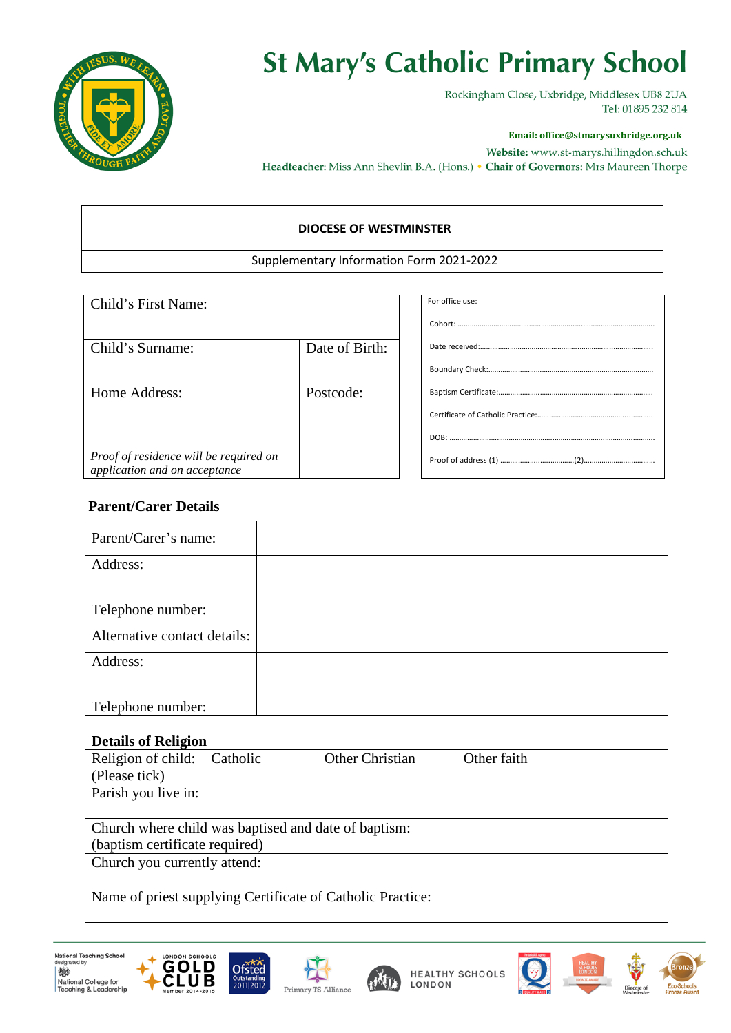

## **St Mary's Catholic Primary School**

Rockingham Close, Uxbridge, Middlesex UB8 2UA Tel: 01895 232 814

#### **Email: office@stmarysuxbridge.org.uk**

Website: www.st-marys.hillingdon.sch.uk Headteacher: Miss Ann Shevlin B.A. (Hons.) • Chair of Governors: Mrs Maureen Thorpe

#### **DIOCESE OF WESTMINSTER**

#### Supplementary Information Form 2021-2022

| Child's First Name:                                                     |                | For office use: |
|-------------------------------------------------------------------------|----------------|-----------------|
|                                                                         |                |                 |
| Child's Surname:                                                        | Date of Birth: |                 |
|                                                                         |                |                 |
| Home Address:                                                           | Postcode:      |                 |
|                                                                         |                |                 |
|                                                                         |                |                 |
| Proof of residence will be required on<br>application and on acceptance |                |                 |

### **Parent/Carer Details**

| Parent/Carer's name:         |  |
|------------------------------|--|
| Address:                     |  |
|                              |  |
|                              |  |
| Telephone number:            |  |
|                              |  |
| Alternative contact details: |  |
| Address:                     |  |
|                              |  |
|                              |  |
|                              |  |
| Telephone number:            |  |

#### **Details of Religion**

| ————                                                       |          |                 |             |  |  |  |
|------------------------------------------------------------|----------|-----------------|-------------|--|--|--|
| Religion of child:                                         | Catholic | Other Christian | Other faith |  |  |  |
| (Please tick)                                              |          |                 |             |  |  |  |
| Parish you live in:                                        |          |                 |             |  |  |  |
|                                                            |          |                 |             |  |  |  |
| Church where child was baptised and date of baptism:       |          |                 |             |  |  |  |
| (baptism certificate required)                             |          |                 |             |  |  |  |
| Church you currently attend:                               |          |                 |             |  |  |  |
|                                                            |          |                 |             |  |  |  |
| Name of priest supplying Certificate of Catholic Practice: |          |                 |             |  |  |  |
|                                                            |          |                 |             |  |  |  |